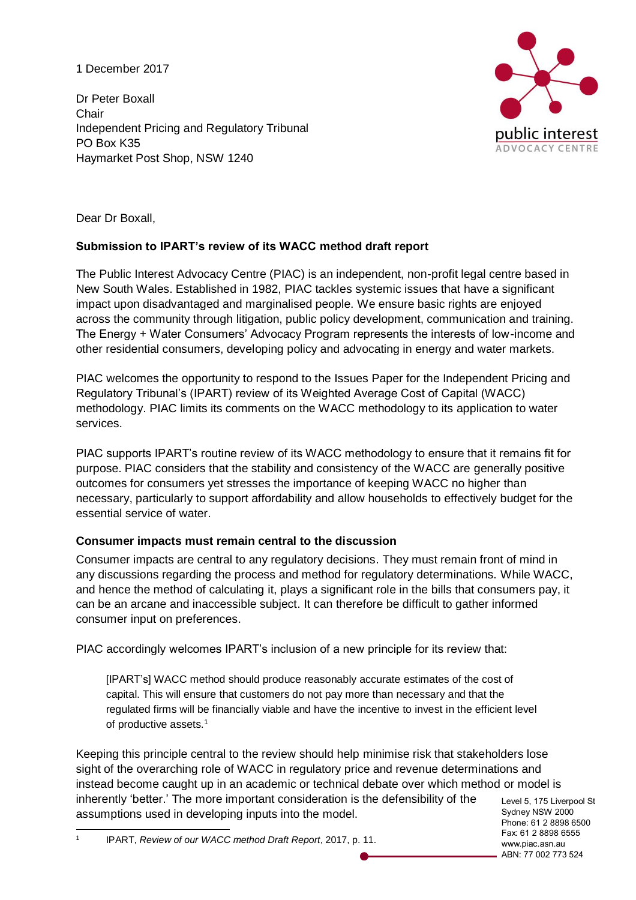1 December 2017

Dr Peter Boxall **Chair** Independent Pricing and Regulatory Tribunal PO Box K35 Haymarket Post Shop, NSW 1240



Dear Dr Boxall,

# **Submission to IPART's review of its WACC method draft report**

The Public Interest Advocacy Centre (PIAC) is an independent, non-profit legal centre based in New South Wales. Established in 1982, PIAC tackles systemic issues that have a significant impact upon disadvantaged and marginalised people. We ensure basic rights are enjoyed across the community through litigation, public policy development, communication and training. The Energy + Water Consumers' Advocacy Program represents the interests of low-income and other residential consumers, developing policy and advocating in energy and water markets.

PIAC welcomes the opportunity to respond to the Issues Paper for the Independent Pricing and Regulatory Tribunal's (IPART) review of its Weighted Average Cost of Capital (WACC) methodology. PIAC limits its comments on the WACC methodology to its application to water services.

PIAC supports IPART's routine review of its WACC methodology to ensure that it remains fit for purpose. PIAC considers that the stability and consistency of the WACC are generally positive outcomes for consumers yet stresses the importance of keeping WACC no higher than necessary, particularly to support affordability and allow households to effectively budget for the essential service of water.

# **Consumer impacts must remain central to the discussion**

Consumer impacts are central to any regulatory decisions. They must remain front of mind in any discussions regarding the process and method for regulatory determinations. While WACC, and hence the method of calculating it, plays a significant role in the bills that consumers pay, it can be an arcane and inaccessible subject. It can therefore be difficult to gather informed consumer input on preferences.

PIAC accordingly welcomes IPART's inclusion of a new principle for its review that:

[IPART's] WACC method should produce reasonably accurate estimates of the cost of capital. This will ensure that customers do not pay more than necessary and that the regulated firms will be financially viable and have the incentive to invest in the efficient level of productive assets.<sup>1</sup>

Keeping this principle central to the review should help minimise risk that stakeholders lose sight of the overarching role of WACC in regulatory price and revenue determinations and instead become caught up in an academic or technical debate over which method or model is inherently 'better.' The more important consideration is the defensibility of the assumptions used in developing inputs into the model.

Level 5, 175 Liverpool St Sydney NSW 2000 Phone: 61 2 8898 6500 Fax: 61 2 8898 6555 www.piac.asn.au ABN: 77 002 773 524

 $\overline{a}$ 1 IPART, *Review of our WACC method Draft Report*, 2017, p. 11.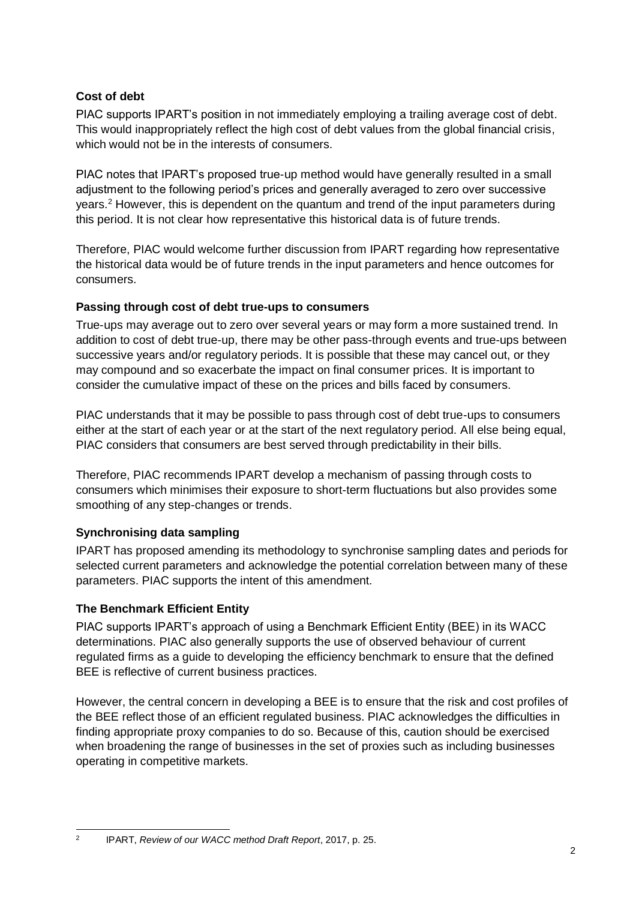### **Cost of debt**

PIAC supports IPART's position in not immediately employing a trailing average cost of debt. This would inappropriately reflect the high cost of debt values from the global financial crisis, which would not be in the interests of consumers.

PIAC notes that IPART's proposed true-up method would have generally resulted in a small adjustment to the following period's prices and generally averaged to zero over successive years.<sup>2</sup> However, this is dependent on the quantum and trend of the input parameters during this period. It is not clear how representative this historical data is of future trends.

Therefore, PIAC would welcome further discussion from IPART regarding how representative the historical data would be of future trends in the input parameters and hence outcomes for consumers.

#### **Passing through cost of debt true-ups to consumers**

True-ups may average out to zero over several years or may form a more sustained trend. In addition to cost of debt true-up, there may be other pass-through events and true-ups between successive years and/or regulatory periods. It is possible that these may cancel out, or they may compound and so exacerbate the impact on final consumer prices. It is important to consider the cumulative impact of these on the prices and bills faced by consumers.

PIAC understands that it may be possible to pass through cost of debt true-ups to consumers either at the start of each year or at the start of the next regulatory period. All else being equal, PIAC considers that consumers are best served through predictability in their bills.

Therefore, PIAC recommends IPART develop a mechanism of passing through costs to consumers which minimises their exposure to short-term fluctuations but also provides some smoothing of any step-changes or trends.

# **Synchronising data sampling**

IPART has proposed amending its methodology to synchronise sampling dates and periods for selected current parameters and acknowledge the potential correlation between many of these parameters. PIAC supports the intent of this amendment.

# **The Benchmark Efficient Entity**

 $\frac{1}{2}$ 

PIAC supports IPART's approach of using a Benchmark Efficient Entity (BEE) in its WACC determinations. PIAC also generally supports the use of observed behaviour of current regulated firms as a guide to developing the efficiency benchmark to ensure that the defined BEE is reflective of current business practices.

However, the central concern in developing a BEE is to ensure that the risk and cost profiles of the BEE reflect those of an efficient regulated business. PIAC acknowledges the difficulties in finding appropriate proxy companies to do so. Because of this, caution should be exercised when broadening the range of businesses in the set of proxies such as including businesses operating in competitive markets.

IPART, *Review of our WACC method Draft Report*, 2017, p. 25.